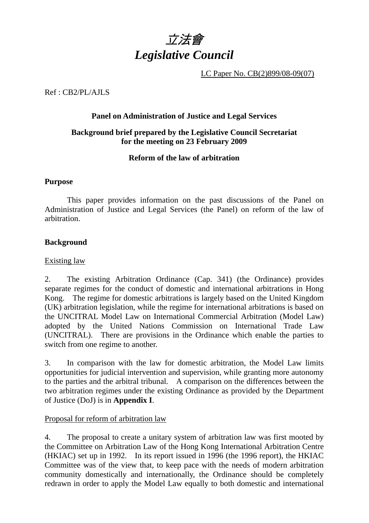

LC Paper No. CB(2)899/08-09(07)

Ref : CB2/PL/AJLS

#### **Panel on Administration of Justice and Legal Services**

#### **Background brief prepared by the Legislative Council Secretariat for the meeting on 23 February 2009**

#### **Reform of the law of arbitration**

#### **Purpose**

 This paper provides information on the past discussions of the Panel on Administration of Justice and Legal Services (the Panel) on reform of the law of arbitration.

#### **Background**

#### Existing law

2. The existing Arbitration Ordinance (Cap. 341) (the Ordinance) provides separate regimes for the conduct of domestic and international arbitrations in Hong Kong. The regime for domestic arbitrations is largely based on the United Kingdom (UK) arbitration legislation, while the regime for international arbitrations is based on the UNCITRAL Model Law on International Commercial Arbitration (Model Law) adopted by the United Nations Commission on International Trade Law (UNCITRAL). There are provisions in the Ordinance which enable the parties to switch from one regime to another.

3. In comparison with the law for domestic arbitration, the Model Law limits opportunities for judicial intervention and supervision, while granting more autonomy to the parties and the arbitral tribunal. A comparison on the differences between the two arbitration regimes under the existing Ordinance as provided by the Department of Justice (DoJ) is in **Appendix I**.

#### Proposal for reform of arbitration law

4. The proposal to create a unitary system of arbitration law was first mooted by the Committee on Arbitration Law of the Hong Kong International Arbitration Centre (HKIAC) set up in 1992. In its report issued in 1996 (the 1996 report), the HKIAC Committee was of the view that, to keep pace with the needs of modern arbitration community domestically and internationally, the Ordinance should be completely redrawn in order to apply the Model Law equally to both domestic and international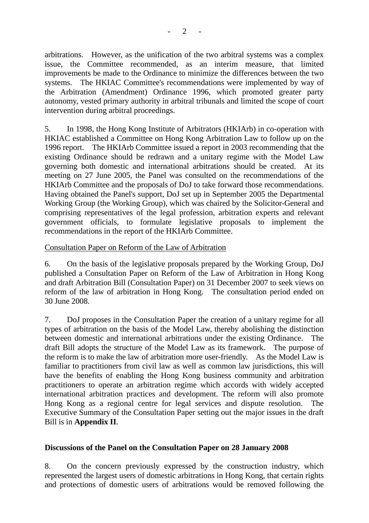arbitrations. However, as the unification of the two arbitral systems was a complex issue, the Committee recommended, as an interim measure, that limited improvements be made to the Ordinance to minimize the differences between the two systems. The HKIAC Committee's recommendations were implemented by way of the Arbitration (Amendment) Ordinance 1996, which promoted greater party autonomy, vested primary authority in arbitral tribunals and limited the scope of court intervention during arbitral proceedings.

5. In 1998, the Hong Kong Institute of Arbitrators (HKIArb) in co-operation with HKIAC established a Committee on Hong Kong Arbitration Law to follow up on the 1996 report. The HKIArb Committee issued a report in 2003 recommending that the existing Ordinance should be redrawn and a unitary regime with the Model Law governing both domestic and international arbitrations should be created. At its meeting on 27 June 2005, the Panel was consulted on the recommendations of the HKIArb Committee and the proposals of DoJ to take forward those recommendations. Having obtained the Panel's support, DoJ set up in September 2005 the Departmental Working Group (the Working Group), which was chaired by the Solicitor-General and comprising representatives of the legal profession, arbitration experts and relevant government officials, to formulate legislative proposals to implement the recommendations in the report of the HKIArb Committee.

#### Consultation Paper on Reform of the Law of Arbitration

6. On the basis of the legislative proposals prepared by the Working Group, DoJ published a Consultation Paper on Reform of the Law of Arbitration in Hong Kong and draft Arbitration Bill (Consultation Paper) on 31 December 2007 to seek views on reform of the law of arbitration in Hong Kong. The consultation period ended on 30 June 2008.

7. DoJ proposes in the Consultation Paper the creation of a unitary regime for all types of arbitration on the basis of the Model Law, thereby abolishing the distinction between domestic and international arbitrations under the existing Ordinance. The draft Bill adopts the structure of the Model Law as its framework. The purpose of the reform is to make the law of arbitration more user-friendly. As the Model Law is familiar to practitioners from civil law as well as common law jurisdictions, this will have the benefits of enabling the Hong Kong business community and arbitration practitioners to operate an arbitration regime which accords with widely accepted international arbitration practices and development. The reform will also promote Hong Kong as a regional centre for legal services and dispute resolution. The Executive Summary of the Consultation Paper setting out the major issues in the draft Bill is in **Appendix II**.

#### **Discussions of the Panel on the Consultation Paper on 28 January 2008**

8. On the concern previously expressed by the construction industry, which represented the largest users of domestic arbitrations in Hong Kong, that certain rights and protections of domestic users of arbitrations would be removed following the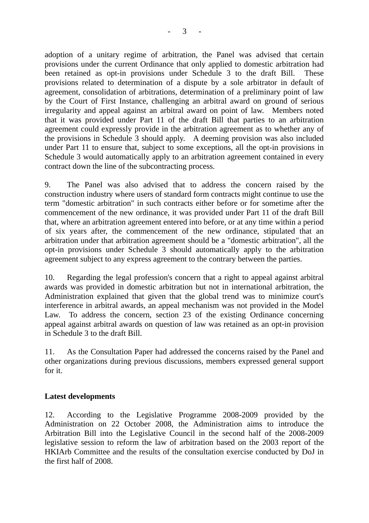adoption of a unitary regime of arbitration, the Panel was advised that certain provisions under the current Ordinance that only applied to domestic arbitration had been retained as opt-in provisions under Schedule 3 to the draft Bill. These provisions related to determination of a dispute by a sole arbitrator in default of agreement, consolidation of arbitrations, determination of a preliminary point of law by the Court of First Instance, challenging an arbitral award on ground of serious irregularity and appeal against an arbitral award on point of law. Members noted that it was provided under Part 11 of the draft Bill that parties to an arbitration agreement could expressly provide in the arbitration agreement as to whether any of the provisions in Schedule 3 should apply. A deeming provision was also included under Part 11 to ensure that, subject to some exceptions, all the opt-in provisions in Schedule 3 would automatically apply to an arbitration agreement contained in every contract down the line of the subcontracting process.

9. The Panel was also advised that to address the concern raised by the construction industry where users of standard form contracts might continue to use the term "domestic arbitration" in such contracts either before or for sometime after the commencement of the new ordinance, it was provided under Part 11 of the draft Bill that, where an arbitration agreement entered into before, or at any time within a period of six years after, the commencement of the new ordinance, stipulated that an arbitration under that arbitration agreement should be a "domestic arbitration", all the opt-in provisions under Schedule 3 should automatically apply to the arbitration agreement subject to any express agreement to the contrary between the parties.

10. Regarding the legal profession's concern that a right to appeal against arbitral awards was provided in domestic arbitration but not in international arbitration, the Administration explained that given that the global trend was to minimize court's interference in arbitral awards, an appeal mechanism was not provided in the Model Law. To address the concern, section 23 of the existing Ordinance concerning appeal against arbitral awards on question of law was retained as an opt-in provision in Schedule 3 to the draft Bill.

11. As the Consultation Paper had addressed the concerns raised by the Panel and other organizations during previous discussions, members expressed general support for it.

#### **Latest developments**

12. According to the Legislative Programme 2008-2009 provided by the Administration on 22 October 2008, the Administration aims to introduce the Arbitration Bill into the Legislative Council in the second half of the 2008-2009 legislative session to reform the law of arbitration based on the 2003 report of the HKIArb Committee and the results of the consultation exercise conducted by DoJ in the first half of 2008.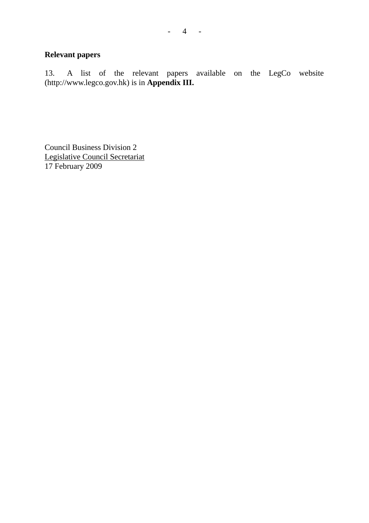## **Relevant papers**

13. A list of the relevant papers available on the LegCo website (http://www.legco.gov.hk) is in **Appendix III.**

Council Business Division 2 Legislative Council Secretariat 17 February 2009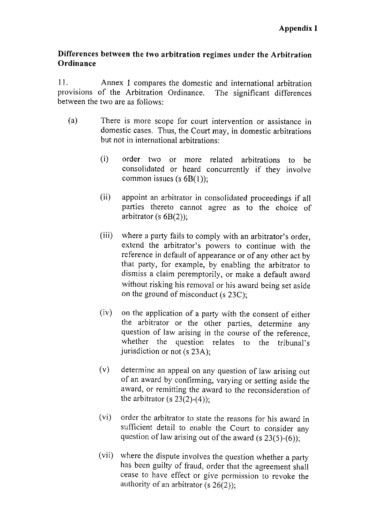#### Differences between the two arbitration regimes under the Arbitration Ordinance

 $11.$ Annex 1 compares the domestic and international arbitration provisions of the Arbitration Ordinance. The significant differences between the two are as follows:

- $(a)$ There is more scope for court intervention or assistance in domestic cases. Thus, the Court may, in domestic arbitrations but not in international arbitrations:
	- $(i)$ order two or more related arbitrations to be consolidated or heard concurrently if they involve common issues (s $6B(1)$ );
	- $(ii)$ appoint an arbitrator in consolidated proceedings if all parties thereto cannot agree as to the choice of arbitrator (s  $6B(2)$ );
	- $(iii)$ where a party fails to comply with an arbitrator's order, extend the arbitrator's powers to continue with the reference in default of appearance or of any other act by that party, for example, by enabling the arbitrator to dismiss a claim peremptorily, or make a default award without risking his removal or his award being set aside on the ground of misconduct (s 23C);
	- $(iv)$ on the application of a party with the consent of either the arbitrator or the other parties, determine any question of law arising in the course of the reference, whether the question relates to the tribunal's jurisdiction or not (s 23A);
	- $(v)$ determine an appeal on any question of law arising out of an award by confirming, varying or setting aside the award, or remitting the award to the reconsideration of the arbitrator (s  $23(2)-(4)$ );
	- $(v_i)$ order the arbitrator to state the reasons for his award in sufficient detail to enable the Court to consider any question of law arising out of the award (s  $23(5)-(6)$ );
	- where the dispute involves the question whether a party  $(vii)$ has been guilty of fraud, order that the agreement shall cease to have effect or give permission to revoke the authority of an arbitrator (s  $26(2)$ );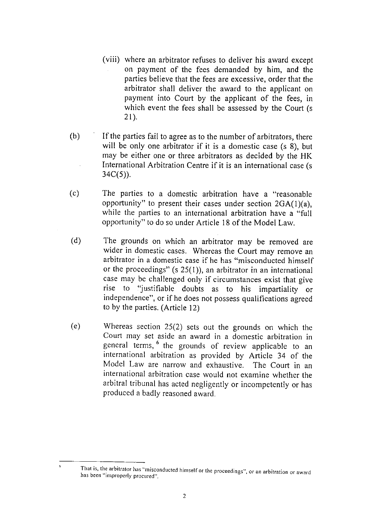- (viii) where an arbitrator refuses to deliver his award except on payment of the fees demanded by him, and the parties believe that the fees are excessive, order that the arbitrator shall deliver the award to the applicant on payment into Court by the applicant of the fees, in which event the fees shall be assessed by the Court (s)  $21$ ).
- $(b)$ If the parties fail to agree as to the number of arbitrators, there will be only one arbitrator if it is a domestic case (s 8), but may be either one or three arbitrators as decided by the HK International Arbitration Centre if it is an international case (s)  $34C(5)$ ).
- $(c)$ The parties to a domestic arbitration have a "reasonable" opportunity" to present their cases under section  $2GA(1)(a)$ . while the parties to an international arbitration have a "full opportunity" to do so under Article 18 of the Model Law.
- $(d)$ The grounds on which an arbitrator may be removed are wider in domestic cases. Whereas the Court may remove an arbitrator in a domestic case if he has "misconducted himself or the proceedings"  $(s 25(1))$ , an arbitrator in an international case may be challenged only if circumstances exist that give rise to "justifiable doubts as to his impartiality or independence", or if he does not possess qualifications agreed to by the parties. (Article 12)
- $(e)$ Whereas section  $25(2)$  sets out the grounds on which the Court may set aside an award in a domestic arbitration in general terms, <sup>6</sup> the grounds of review applicable to an international arbitration as provided by Article 34 of the Model Law are narrow and exhaustive. The Court in an international arbitration case would not examine whether the arbitral tribunal has acted negligently or incompetently or has produced a badly reasoned award.

 $\ddot{\mathbf{6}}$ 

That is, the arbitrator has "misconducted himself or the proceedings", or an arbitration or award has been "improperly procured".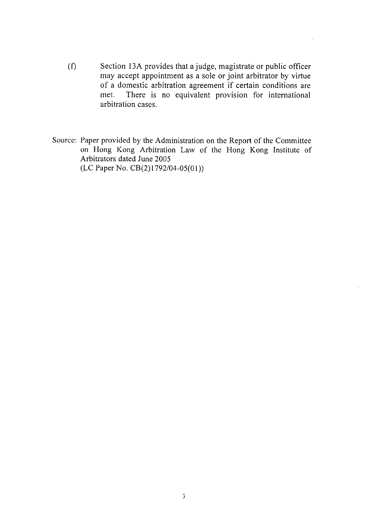- $(f)$ Section 13A provides that a judge, magistrate or public officer may accept appointment as a sole or joint arbitrator by virtue of a domestic arbitration agreement if certain conditions are There is no equivalent provision for international met. arbitration cases.
- Source: Paper provided by the Administration on the Report of the Committee on Hong Kong Arbitration Law of the Hong Kong Institute of Arbitrators dated June 2005  $(LC$  Paper No.  $CB(2)1792/04-05(01))$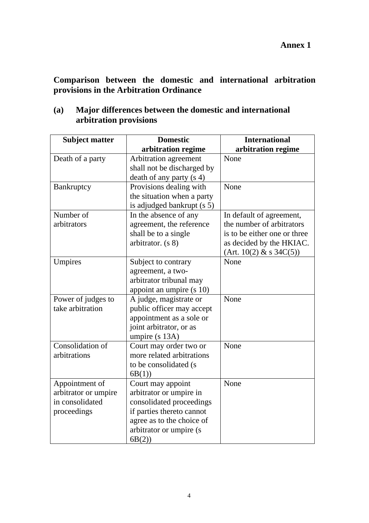**Comparison between the domestic and international arbitration provisions in the Arbitration Ordinance** 

| <b>Subject matter</b>                  | <b>Domestic</b>                              | <b>International</b>         |
|----------------------------------------|----------------------------------------------|------------------------------|
|                                        | arbitration regime                           | arbitration regime           |
| Death of a party                       | Arbitration agreement                        | None                         |
|                                        | shall not be discharged by                   |                              |
|                                        | death of any party (s 4)                     |                              |
| Bankruptcy                             | Provisions dealing with                      | None                         |
|                                        | the situation when a party                   |                              |
|                                        | is adjudged bankrupt (s 5)                   |                              |
| Number of                              | In the absence of any                        | In default of agreement,     |
| arbitrators                            | agreement, the reference                     | the number of arbitrators    |
|                                        | shall be to a single                         | is to be either one or three |
|                                        | arbitrator. (s 8)                            | as decided by the HKIAC.     |
|                                        |                                              | (Art. 10(2) & S 34C(5))      |
| Umpires                                | Subject to contrary                          | None                         |
|                                        | agreement, a two-                            |                              |
|                                        | arbitrator tribunal may                      |                              |
|                                        | appoint an umpire (s 10)                     |                              |
| Power of judges to                     | A judge, magistrate or                       | None                         |
| take arbitration                       | public officer may accept                    |                              |
|                                        | appointment as a sole or                     |                              |
|                                        | joint arbitrator, or as                      |                              |
|                                        | umpire (s 13A)                               |                              |
| Consolidation of                       | Court may order two or                       | None                         |
| arbitrations                           | more related arbitrations                    |                              |
|                                        | to be consolidated (s                        |                              |
|                                        | 6B(1)                                        | None                         |
| Appointment of<br>arbitrator or umpire | Court may appoint<br>arbitrator or umpire in |                              |
| in consolidated                        | consolidated proceedings                     |                              |
| proceedings                            | if parties thereto cannot                    |                              |
|                                        | agree as to the choice of                    |                              |
|                                        | arbitrator or umpire (s                      |                              |
|                                        | 6B(2)                                        |                              |

**(a) Major differences between the domestic and international arbitration provisions**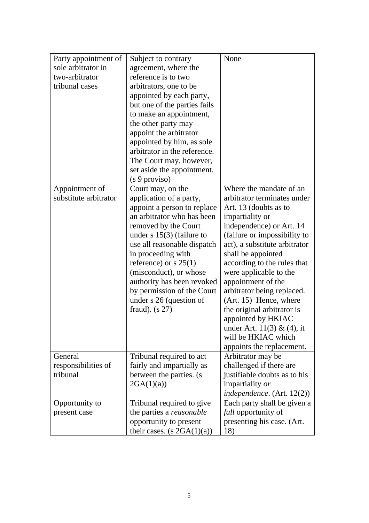| Party appointment of  | Subject to contrary             | None                          |
|-----------------------|---------------------------------|-------------------------------|
| sole arbitrator in    | agreement, where the            |                               |
| two-arbitrator        | reference is to two             |                               |
| tribunal cases        | arbitrators, one to be          |                               |
|                       |                                 |                               |
|                       | appointed by each party,        |                               |
|                       | but one of the parties fails    |                               |
|                       | to make an appointment,         |                               |
|                       | the other party may             |                               |
|                       | appoint the arbitrator          |                               |
|                       | appointed by him, as sole       |                               |
|                       | arbitrator in the reference.    |                               |
|                       | The Court may, however,         |                               |
|                       | set aside the appointment.      |                               |
|                       | (s 9 proviso)                   |                               |
| Appointment of        | Court may, on the               | Where the mandate of an       |
| substitute arbitrator | application of a party,         | arbitrator terminates under   |
|                       | appoint a person to replace     | Art. 13 (doubts as to         |
|                       | an arbitrator who has been      | impartiality or               |
|                       | removed by the Court            | independence) or Art. 14      |
|                       | under $s$ 15(3) (failure to     | (failure or impossibility to  |
|                       | use all reasonable dispatch     | act), a substitute arbitrator |
|                       | in proceeding with              | shall be appointed            |
|                       | reference) or $s$ 25(1)         | according to the rules that   |
|                       | (misconduct), or whose          | were applicable to the        |
|                       |                                 | appointment of the            |
|                       | authority has been revoked      |                               |
|                       | by permission of the Court      | arbitrator being replaced.    |
|                       | under s 26 (question of         | (Art. 15) Hence, where        |
|                       | fraud). $(s 27)$                | the original arbitrator is    |
|                       |                                 | appointed by HKIAC            |
|                       |                                 | under Art. $11(3) & (4)$ , it |
|                       |                                 | will be HKIAC which           |
|                       |                                 | appoints the replacement.     |
| General               | Tribunal required to act        | Arbitrator may be             |
| responsibilities of   | fairly and impartially as       | challenged if there are       |
| tribunal              | between the parties. (s         | justifiable doubts as to his  |
|                       | 2GA(1)(a)                       | impartiality or               |
|                       |                                 | independence. (Art. 12(2))    |
| Opportunity to        | Tribunal required to give       | Each party shall be given a   |
| present case          | the parties a <i>reasonable</i> | full opportunity of           |
|                       | opportunity to present          | presenting his case. (Art.    |
|                       | their cases. $(s 2GA(1)(a))$    | 18)                           |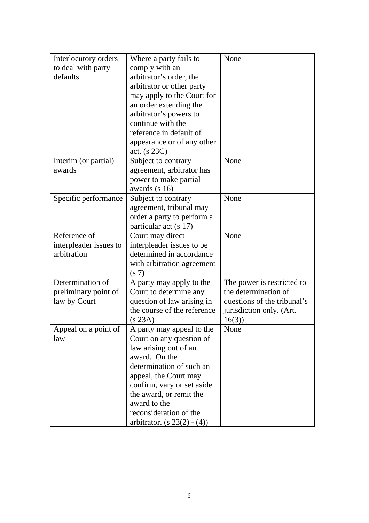| Interlocutory orders                  | Where a party fails to                        | None                                               |
|---------------------------------------|-----------------------------------------------|----------------------------------------------------|
| to deal with party                    | comply with an                                |                                                    |
| defaults                              | arbitrator's order, the                       |                                                    |
|                                       | arbitrator or other party                     |                                                    |
|                                       | may apply to the Court for                    |                                                    |
|                                       | an order extending the                        |                                                    |
|                                       | arbitrator's powers to                        |                                                    |
|                                       | continue with the                             |                                                    |
|                                       | reference in default of                       |                                                    |
|                                       | appearance or of any other                    |                                                    |
|                                       | act. $(s 23C)$                                |                                                    |
| Interim (or partial)                  | Subject to contrary                           | None                                               |
| awards                                | agreement, arbitrator has                     |                                                    |
|                                       | power to make partial                         |                                                    |
|                                       | awards (s 16)                                 |                                                    |
| Specific performance                  | Subject to contrary                           | None                                               |
|                                       | agreement, tribunal may                       |                                                    |
|                                       | order a party to perform a                    |                                                    |
|                                       | particular act (s 17)                         |                                                    |
| Reference of                          |                                               | None                                               |
|                                       | Court may direct<br>interpleader issues to be |                                                    |
| interpleader issues to<br>arbitration | determined in accordance                      |                                                    |
|                                       |                                               |                                                    |
|                                       | with arbitration agreement                    |                                                    |
| Determination of                      | (s 7)                                         |                                                    |
|                                       | A party may apply to the                      | The power is restricted to<br>the determination of |
| preliminary point of                  | Court to determine any                        |                                                    |
| law by Court                          | question of law arising in                    | questions of the tribunal's                        |
|                                       | the course of the reference                   | jurisdiction only. (Art.                           |
|                                       | (s 23A)                                       | 16(3)                                              |
| Appeal on a point of                  | A party may appeal to the                     | None                                               |
| law                                   | Court on any question of                      |                                                    |
|                                       | law arising out of an                         |                                                    |
|                                       | award. On the                                 |                                                    |
|                                       | determination of such an                      |                                                    |
|                                       | appeal, the Court may                         |                                                    |
|                                       | confirm, vary or set aside                    |                                                    |
|                                       | the award, or remit the                       |                                                    |
|                                       | award to the                                  |                                                    |
|                                       | reconsideration of the                        |                                                    |
|                                       | arbitrator. $(s 23(2) - (4))$                 |                                                    |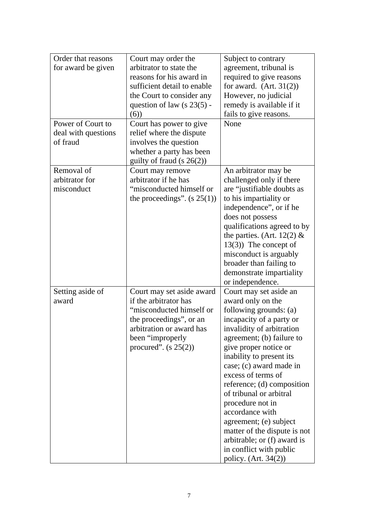| Order that reasons  | Court may order the           | Subject to contrary          |
|---------------------|-------------------------------|------------------------------|
| for award be given  | arbitrator to state the       | agreement, tribunal is       |
|                     | reasons for his award in      | required to give reasons     |
|                     | sufficient detail to enable   | for award. $(Art. 31(2))$    |
|                     | the Court to consider any     | However, no judicial         |
|                     | question of law $(s 23(5) -$  | remedy is available if it    |
|                     | (6)                           | fails to give reasons.       |
| Power of Court to   | Court has power to give       | None                         |
| deal with questions | relief where the dispute      |                              |
| of fraud            | involves the question         |                              |
|                     | whether a party has been      |                              |
|                     | guilty of fraud $(s 26(2))$   |                              |
| Removal of          | Court may remove              | An arbitrator may be         |
| arbitrator for      | arbitrator if he has          | challenged only if there     |
| misconduct          | "misconducted himself or      | are "justifiable doubts as   |
|                     | the proceedings". $(s 25(1))$ | to his impartiality or       |
|                     |                               | independence", or if he      |
|                     |                               | does not possess             |
|                     |                               | qualifications agreed to by  |
|                     |                               | the parties. (Art. 12(2) $&$ |
|                     |                               |                              |
|                     |                               | $13(3)$ ) The concept of     |
|                     |                               | misconduct is arguably       |
|                     |                               | broader than failing to      |
|                     |                               | demonstrate impartiality     |
|                     |                               | or independence.             |
| Setting aside of    | Court may set aside award     | Court may set aside an       |
| award               | if the arbitrator has         | award only on the            |
|                     | "misconducted himself or      | following grounds: (a)       |
|                     | the proceedings", or an       | incapacity of a party or     |
|                     | arbitration or award has      | invalidity of arbitration    |
|                     | been "improperly"             | agreement; (b) failure to    |
|                     | procured". $(s 25(2))$        | give proper notice or        |
|                     |                               | inability to present its     |
|                     |                               | case; (c) award made in      |
|                     |                               | excess of terms of           |
|                     |                               | reference; (d) composition   |
|                     |                               | of tribunal or arbitral      |
|                     |                               | procedure not in             |
|                     |                               | accordance with              |
|                     |                               | agreement; (e) subject       |
|                     |                               | matter of the dispute is not |
|                     |                               | arbitrable; or (f) award is  |
|                     |                               | in conflict with public      |
|                     |                               | policy. (Art. 34(2))         |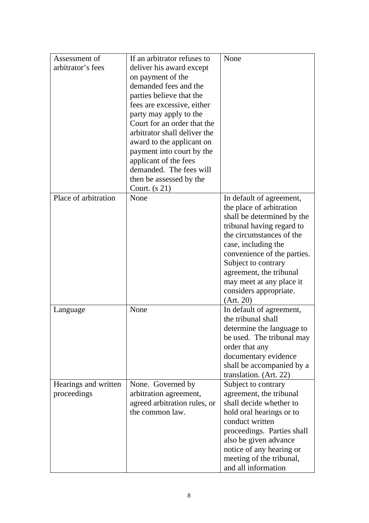| Assessment of        | If an arbitrator refuses to  | None                                               |
|----------------------|------------------------------|----------------------------------------------------|
| arbitrator's fees    | deliver his award except     |                                                    |
|                      | on payment of the            |                                                    |
|                      | demanded fees and the        |                                                    |
|                      | parties believe that the     |                                                    |
|                      | fees are excessive, either   |                                                    |
|                      | party may apply to the       |                                                    |
|                      | Court for an order that the  |                                                    |
|                      | arbitrator shall deliver the |                                                    |
|                      | award to the applicant on    |                                                    |
|                      | payment into court by the    |                                                    |
|                      | applicant of the fees        |                                                    |
|                      | demanded. The fees will      |                                                    |
|                      | then be assessed by the      |                                                    |
|                      | Court. $(s 21)$              |                                                    |
| Place of arbitration | None                         | In default of agreement,                           |
|                      |                              | the place of arbitration                           |
|                      |                              | shall be determined by the                         |
|                      |                              | tribunal having regard to                          |
|                      |                              | the circumstances of the                           |
|                      |                              | case, including the                                |
|                      |                              | convenience of the parties.                        |
|                      |                              | Subject to contrary                                |
|                      |                              | agreement, the tribunal                            |
|                      |                              | may meet at any place it                           |
|                      |                              | considers appropriate.                             |
|                      |                              | (Art. 20)                                          |
|                      | None                         | In default of agreement,                           |
| Language             |                              | the tribunal shall                                 |
|                      |                              | determine the language to                          |
|                      |                              | be used. The tribunal may                          |
|                      |                              | order that any                                     |
|                      |                              |                                                    |
|                      |                              | documentary evidence                               |
|                      |                              | shall be accompanied by a                          |
|                      |                              | translation. (Art. 22)                             |
| Hearings and written | None. Governed by            | Subject to contrary                                |
| proceedings          | arbitration agreement,       | agreement, the tribunal<br>shall decide whether to |
|                      | agreed arbitration rules, or |                                                    |
|                      | the common law.              | hold oral hearings or to                           |
|                      |                              | conduct written                                    |
|                      |                              | proceedings. Parties shall                         |
|                      |                              | also be given advance                              |
|                      |                              | notice of any hearing or                           |
|                      |                              | meeting of the tribunal,                           |
|                      |                              | and all information                                |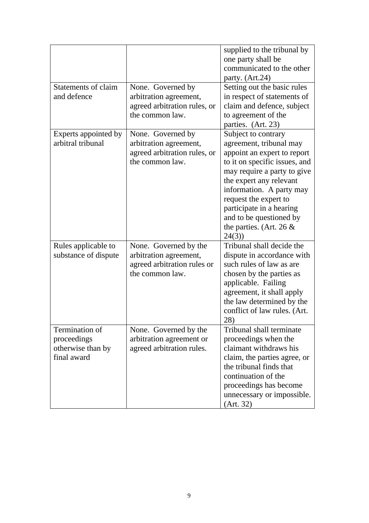|                                                                   |                                                                                                   | supplied to the tribunal by<br>one party shall be<br>communicated to the other<br>party. (Art.24)                                                                                                                                                                                                                           |
|-------------------------------------------------------------------|---------------------------------------------------------------------------------------------------|-----------------------------------------------------------------------------------------------------------------------------------------------------------------------------------------------------------------------------------------------------------------------------------------------------------------------------|
| Statements of claim<br>and defence                                | None. Governed by<br>arbitration agreement,<br>agreed arbitration rules, or<br>the common law.    | Setting out the basic rules<br>in respect of statements of<br>claim and defence, subject<br>to agreement of the<br>parties. (Art. 23)                                                                                                                                                                                       |
| Experts appointed by<br>arbitral tribunal                         | None. Governed by<br>arbitration agreement,<br>agreed arbitration rules, or<br>the common law.    | Subject to contrary<br>agreement, tribunal may<br>appoint an expert to report<br>to it on specific issues, and<br>may require a party to give<br>the expert any relevant<br>information. A party may<br>request the expert to<br>participate in a hearing<br>and to be questioned by<br>the parties. (Art. 26 $\&$<br>24(3) |
| Rules applicable to<br>substance of dispute                       | None. Governed by the<br>arbitration agreement,<br>agreed arbitration rules or<br>the common law. | Tribunal shall decide the<br>dispute in accordance with<br>such rules of law as are<br>chosen by the parties as<br>applicable. Failing<br>agreement, it shall apply<br>the law determined by the<br>conflict of law rules. (Art.<br>28)                                                                                     |
| Termination of<br>proceedings<br>otherwise than by<br>final award | None. Governed by the<br>arbitration agreement or<br>agreed arbitration rules.                    | Tribunal shall terminate<br>proceedings when the<br>claimant withdraws his<br>claim, the parties agree, or<br>the tribunal finds that<br>continuation of the<br>proceedings has become<br>unnecessary or impossible.<br>(Art. 32)                                                                                           |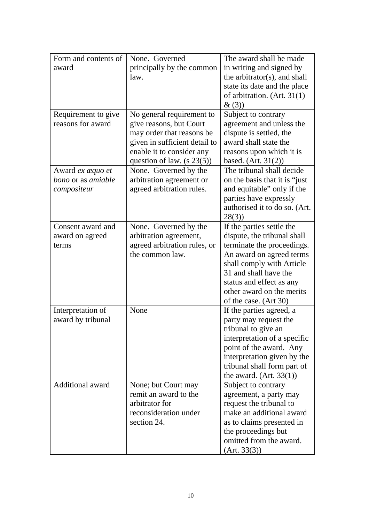| Form and contents of    | None. Governed                | The award shall be made        |
|-------------------------|-------------------------------|--------------------------------|
| award                   | principally by the common     | in writing and signed by       |
|                         | law.                          | the arbitrator(s), and shall   |
|                         |                               | state its date and the place   |
|                         |                               | of arbitration. (Art. 31(1)    |
|                         |                               | &(3)                           |
| Requirement to give     | No general requirement to     | Subject to contrary            |
| reasons for award       | give reasons, but Court       | agreement and unless the       |
|                         | may order that reasons be     | dispute is settled, the        |
|                         | given in sufficient detail to | award shall state the          |
|                         | enable it to consider any     | reasons upon which it is       |
|                         | question of law. $(s 23(5))$  | based. $(Art. 31(2))$          |
| Award ex æquo et        | None. Governed by the         | The tribunal shall decide      |
| bono or as amiable      | arbitration agreement or      | on the basis that it is "just" |
| compositeur             | agreed arbitration rules.     | and equitable" only if the     |
|                         |                               | parties have expressly         |
|                         |                               | authorised it to do so. (Art.  |
|                         |                               | 28(3)                          |
| Consent award and       | None. Governed by the         | If the parties settle the      |
| award on agreed         | arbitration agreement,        | dispute, the tribunal shall    |
| terms                   | agreed arbitration rules, or  | terminate the proceedings.     |
|                         | the common law.               | An award on agreed terms       |
|                         |                               | shall comply with Article      |
|                         |                               | 31 and shall have the          |
|                         |                               | status and effect as any       |
|                         |                               | other award on the merits      |
|                         |                               | of the case. (Art 30)          |
| Interpretation of       | None                          | If the parties agreed, a       |
| award by tribunal       |                               | party may request the          |
|                         |                               | tribunal to give an            |
|                         |                               | interpretation of a specific   |
|                         |                               | point of the award. Any        |
|                         |                               | interpretation given by the    |
|                         |                               | tribunal shall form part of    |
|                         |                               | the award. $(Art. 33(1))$      |
| <b>Additional award</b> | None; but Court may           | Subject to contrary            |
|                         | remit an award to the         | agreement, a party may         |
|                         | arbitrator for                | request the tribunal to        |
|                         | reconsideration under         | make an additional award       |
|                         | section 24.                   | as to claims presented in      |
|                         |                               | the proceedings but            |
|                         |                               | omitted from the award.        |
|                         |                               | (Art. 33(3))                   |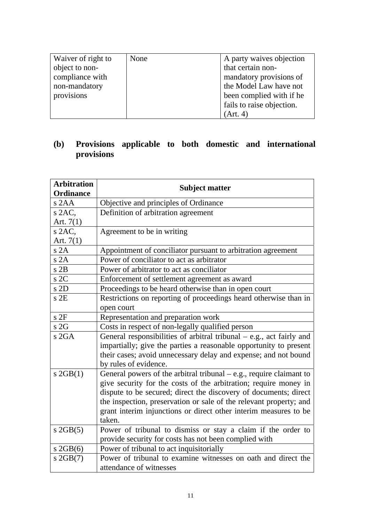| Waiver of right to | None | A party waives objection  |
|--------------------|------|---------------------------|
| object to non-     |      | that certain non-         |
| compliance with    |      | mandatory provisions of   |
| non-mandatory      |      | the Model Law have not    |
| provisions         |      | been complied with if he  |
|                    |      | fails to raise objection. |
|                    |      | (Art. 4)                  |

#### **(b) Provisions applicable to both domestic and international provisions**

| <b>Arbitration</b><br><b>Ordinance</b> | <b>Subject matter</b>                                                 |
|----------------------------------------|-----------------------------------------------------------------------|
| $s$ 2AA                                | Objective and principles of Ordinance                                 |
| $s$ 2AC.                               | Definition of arbitration agreement                                   |
| Art. $7(1)$                            |                                                                       |
| $s$ 2AC,                               | Agreement to be in writing                                            |
| Art. $7(1)$                            |                                                                       |
| s2A                                    | Appointment of conciliator pursuant to arbitration agreement          |
| s2A                                    | Power of conciliator to act as arbitrator                             |
| $s$ 2B                                 | Power of arbitrator to act as conciliator                             |
| s2C                                    | Enforcement of settlement agreement as award                          |
| s2D                                    | Proceedings to be heard otherwise than in open court                  |
| $s$ 2E                                 | Restrictions on reporting of proceedings heard otherwise than in      |
|                                        | open court                                                            |
| s2F                                    | Representation and preparation work                                   |
| s2G                                    | Costs in respect of non-legally qualified person                      |
| s2GA                                   | General responsibilities of arbitral tribunal - e.g., act fairly and  |
|                                        | impartially; give the parties a reasonable opportunity to present     |
|                                        | their cases; avoid unnecessary delay and expense; and not bound       |
|                                        | by rules of evidence.                                                 |
| $s$ 2GB $(1)$                          | General powers of the arbitral tribunal $-$ e.g., require claimant to |
|                                        | give security for the costs of the arbitration; require money in      |
|                                        | dispute to be secured; direct the discovery of documents; direct      |
|                                        | the inspection, preservation or sale of the relevant property; and    |
|                                        | grant interim injunctions or direct other interim measures to be      |
|                                        | taken.                                                                |
| $s$ 2GB $(5)$                          | Power of tribunal to dismiss or stay a claim if the order to          |
|                                        | provide security for costs has not been complied with                 |
| $s$ 2GB $(6)$                          | Power of tribunal to act inquisitorially                              |
| $s$ 2GB $(7)$                          | Power of tribunal to examine witnesses on oath and direct the         |
|                                        | attendance of witnesses                                               |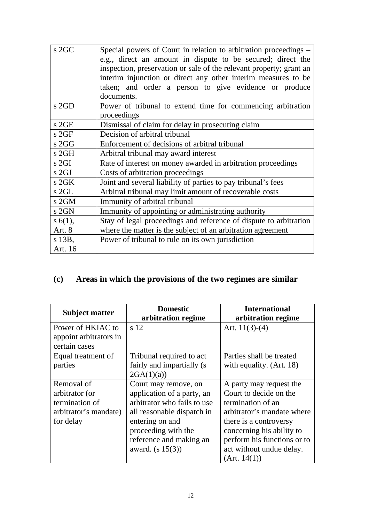| $s$ 2GC | Special powers of Court in relation to arbitration proceedings –    |
|---------|---------------------------------------------------------------------|
|         | e.g., direct an amount in dispute to be secured; direct the         |
|         | inspection, preservation or sale of the relevant property; grant an |
|         | interim injunction or direct any other interim measures to be       |
|         | taken; and order a person to give evidence or produce               |
|         | documents.                                                          |
| s2GD    | Power of tribunal to extend time for commencing arbitration         |
|         | proceedings                                                         |
| $s$ 2GE | Dismissal of claim for delay in prosecuting claim                   |
| s 2GF   | Decision of arbitral tribunal                                       |
| s 2GG   | Enforcement of decisions of arbitral tribunal                       |
| s 2GH   | Arbitral tribunal may award interest                                |
| s 2GI   | Rate of interest on money awarded in arbitration proceedings        |
| s 2GJ   | Costs of arbitration proceedings                                    |
| $s$ 2GK | Joint and several liability of parties to pay tribunal's fees       |
| s 2GL   | Arbitral tribunal may limit amount of recoverable costs             |
| s 2GM   | Immunity of arbitral tribunal                                       |
| s 2GN   | Immunity of appointing or administrating authority                  |
| s 6(1), | Stay of legal proceedings and reference of dispute to arbitration   |
| Art. 8  | where the matter is the subject of an arbitration agreement         |
| s 13B,  | Power of tribunal to rule on its own jurisdiction                   |
| Art. 16 |                                                                     |

# **(c) Areas in which the provisions of the two regimes are similar**

| <b>Subject matter</b>                                                                | <b>Domestic</b><br>arbitration regime                                                                                                                                                                      | <b>International</b><br>arbitration regime                                                                                                                                                                                             |
|--------------------------------------------------------------------------------------|------------------------------------------------------------------------------------------------------------------------------------------------------------------------------------------------------------|----------------------------------------------------------------------------------------------------------------------------------------------------------------------------------------------------------------------------------------|
| Power of HKIAC to<br>appoint arbitrators in<br>certain cases                         | s 12                                                                                                                                                                                                       | Art. $11(3)-(4)$                                                                                                                                                                                                                       |
| Equal treatment of<br>parties                                                        | Tribunal required to act<br>fairly and impartially (s)<br>2GA(1)(a)                                                                                                                                        | Parties shall be treated<br>with equality. (Art. 18)                                                                                                                                                                                   |
| Removal of<br>arbitrator (or<br>termination of<br>arbitrator's mandate)<br>for delay | Court may remove, on<br>application of a party, an<br>arbitrator who fails to use<br>all reasonable dispatch in<br>entering on and<br>proceeding with the<br>reference and making an<br>award. $(s 15(3))$ | A party may request the<br>Court to decide on the<br>termination of an<br>arbitrator's mandate where<br>there is a controversy<br>concerning his ability to<br>perform his functions or to<br>act without undue delay.<br>(Art. 14(1)) |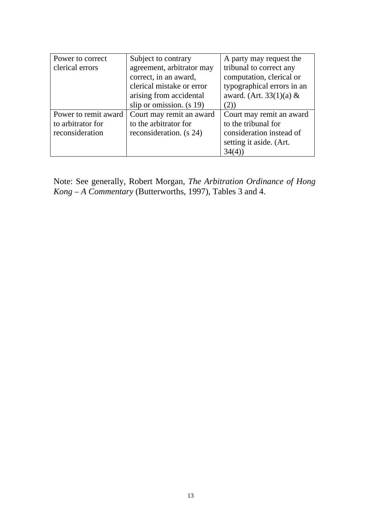| Power to correct     | Subject to contrary        | A party may request the    |
|----------------------|----------------------------|----------------------------|
| clerical errors      | agreement, arbitrator may  | tribunal to correct any    |
|                      | correct, in an award,      | computation, clerical or   |
|                      | clerical mistake or error  | typographical errors in an |
|                      | arising from accidental    | award. (Art. 33(1)(a) $&$  |
|                      | slip or omission. $(s 19)$ | (2)                        |
| Power to remit award | Court may remit an award   | Court may remit an award   |
| to arbitrator for    | to the arbitrator for      | to the tribunal for        |
| reconsideration      | reconsideration. (s 24)    | consideration instead of   |
|                      |                            | setting it aside. (Art.    |
|                      |                            | 34(4)                      |

Note: See generally, Robert Morgan, *The Arbitration Ordinance of Hong Kong – A Commentary* (Butterworths, 1997), Tables 3 and 4.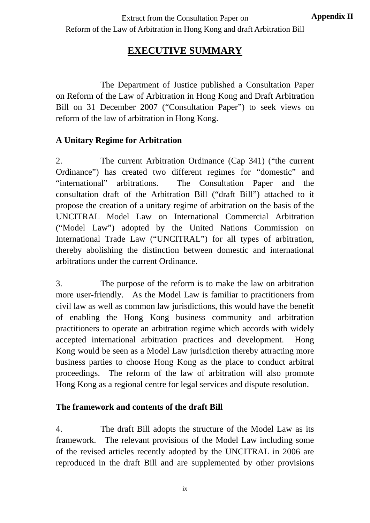# **EXECUTIVE SUMMARY**

 The Department of Justice published a Consultation Paper on Reform of the Law of Arbitration in Hong Kong and Draft Arbitration Bill on 31 December 2007 ("Consultation Paper") to seek views on reform of the law of arbitration in Hong Kong.

## **A Unitary Regime for Arbitration**

2. The current Arbitration Ordinance (Cap 341) ("the current Ordinance") has created two different regimes for "domestic" and "international" arbitrations. The Consultation Paper and the consultation draft of the Arbitration Bill ("draft Bill") attached to it propose the creation of a unitary regime of arbitration on the basis of the UNCITRAL Model Law on International Commercial Arbitration ("Model Law") adopted by the United Nations Commission on International Trade Law ("UNCITRAL") for all types of arbitration, thereby abolishing the distinction between domestic and international arbitrations under the current Ordinance.

3. The purpose of the reform is to make the law on arbitration more user-friendly. As the Model Law is familiar to practitioners from civil law as well as common law jurisdictions, this would have the benefit of enabling the Hong Kong business community and arbitration practitioners to operate an arbitration regime which accords with widely accepted international arbitration practices and development. Hong Kong would be seen as a Model Law jurisdiction thereby attracting more business parties to choose Hong Kong as the place to conduct arbitral proceedings. The reform of the law of arbitration will also promote Hong Kong as a regional centre for legal services and dispute resolution.

## **The framework and contents of the draft Bill**

4. The draft Bill adopts the structure of the Model Law as its framework. The relevant provisions of the Model Law including some of the revised articles recently adopted by the UNCITRAL in 2006 are reproduced in the draft Bill and are supplemented by other provisions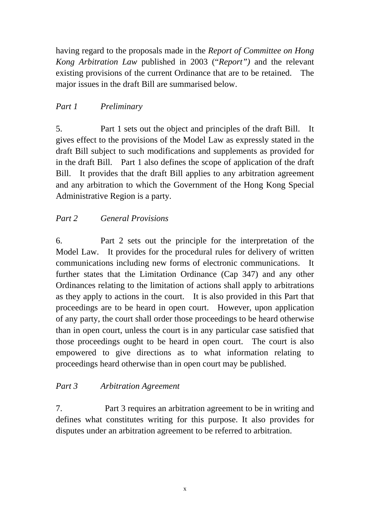having regard to the proposals made in the *Report of Committee on Hong Kong Arbitration Law* published in 2003 ("*Report")* and the relevant existing provisions of the current Ordinance that are to be retained. The major issues in the draft Bill are summarised below.

### *Part 1 Preliminary*

5. Part 1 sets out the object and principles of the draft Bill. It gives effect to the provisions of the Model Law as expressly stated in the draft Bill subject to such modifications and supplements as provided for in the draft Bill. Part 1 also defines the scope of application of the draft Bill. It provides that the draft Bill applies to any arbitration agreement and any arbitration to which the Government of the Hong Kong Special Administrative Region is a party.

## *Part 2 General Provisions*

6. Part 2 sets out the principle for the interpretation of the Model Law. It provides for the procedural rules for delivery of written communications including new forms of electronic communications. It further states that the Limitation Ordinance (Cap 347) and any other Ordinances relating to the limitation of actions shall apply to arbitrations as they apply to actions in the court. It is also provided in this Part that proceedings are to be heard in open court. However, upon application of any party, the court shall order those proceedings to be heard otherwise than in open court, unless the court is in any particular case satisfied that those proceedings ought to be heard in open court. The court is also empowered to give directions as to what information relating to proceedings heard otherwise than in open court may be published.

#### *Part 3 Arbitration Agreement*

7. Part 3 requires an arbitration agreement to be in writing and defines what constitutes writing for this purpose. It also provides for disputes under an arbitration agreement to be referred to arbitration.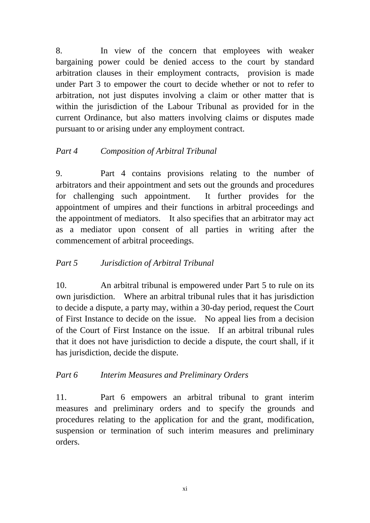8. In view of the concern that employees with weaker bargaining power could be denied access to the court by standard arbitration clauses in their employment contracts, provision is made under Part 3 to empower the court to decide whether or not to refer to arbitration, not just disputes involving a claim or other matter that is within the jurisdiction of the Labour Tribunal as provided for in the current Ordinance, but also matters involving claims or disputes made pursuant to or arising under any employment contract.

## *Part 4 Composition of Arbitral Tribunal*

9. Part 4 contains provisions relating to the number of arbitrators and their appointment and sets out the grounds and procedures for challenging such appointment. It further provides for the appointment of umpires and their functions in arbitral proceedings and the appointment of mediators. It also specifies that an arbitrator may act as a mediator upon consent of all parties in writing after the commencement of arbitral proceedings.

## *Part 5 Jurisdiction of Arbitral Tribunal*

10. An arbitral tribunal is empowered under Part 5 to rule on its own jurisdiction. Where an arbitral tribunal rules that it has jurisdiction to decide a dispute, a party may, within a 30-day period, request the Court of First Instance to decide on the issue. No appeal lies from a decision of the Court of First Instance on the issue. If an arbitral tribunal rules that it does not have jurisdiction to decide a dispute, the court shall, if it has jurisdiction, decide the dispute.

## *Part 6 Interim Measures and Preliminary Orders*

11. Part 6 empowers an arbitral tribunal to grant interim measures and preliminary orders and to specify the grounds and procedures relating to the application for and the grant, modification, suspension or termination of such interim measures and preliminary orders.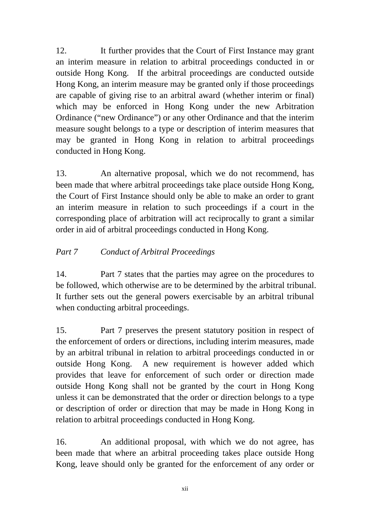12. It further provides that the Court of First Instance may grant an interim measure in relation to arbitral proceedings conducted in or outside Hong Kong. If the arbitral proceedings are conducted outside Hong Kong, an interim measure may be granted only if those proceedings are capable of giving rise to an arbitral award (whether interim or final) which may be enforced in Hong Kong under the new Arbitration Ordinance ("new Ordinance") or any other Ordinance and that the interim measure sought belongs to a type or description of interim measures that may be granted in Hong Kong in relation to arbitral proceedings conducted in Hong Kong.

13. An alternative proposal, which we do not recommend, has been made that where arbitral proceedings take place outside Hong Kong, the Court of First Instance should only be able to make an order to grant an interim measure in relation to such proceedings if a court in the corresponding place of arbitration will act reciprocally to grant a similar order in aid of arbitral proceedings conducted in Hong Kong.

## *Part 7 Conduct of Arbitral Proceedings*

14. Part 7 states that the parties may agree on the procedures to be followed, which otherwise are to be determined by the arbitral tribunal. It further sets out the general powers exercisable by an arbitral tribunal when conducting arbitral proceedings.

15. Part 7 preserves the present statutory position in respect of the enforcement of orders or directions, including interim measures, made by an arbitral tribunal in relation to arbitral proceedings conducted in or outside Hong Kong. A new requirement is however added which provides that leave for enforcement of such order or direction made outside Hong Kong shall not be granted by the court in Hong Kong unless it can be demonstrated that the order or direction belongs to a type or description of order or direction that may be made in Hong Kong in relation to arbitral proceedings conducted in Hong Kong.

16. An additional proposal, with which we do not agree, has been made that where an arbitral proceeding takes place outside Hong Kong, leave should only be granted for the enforcement of any order or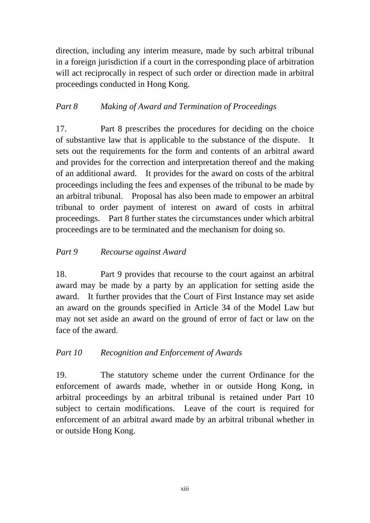direction, including any interim measure, made by such arbitral tribunal in a foreign jurisdiction if a court in the corresponding place of arbitration will act reciprocally in respect of such order or direction made in arbitral proceedings conducted in Hong Kong.

## *Part 8 Making of Award and Termination of Proceedings*

17. Part 8 prescribes the procedures for deciding on the choice of substantive law that is applicable to the substance of the dispute. It sets out the requirements for the form and contents of an arbitral award and provides for the correction and interpretation thereof and the making of an additional award. It provides for the award on costs of the arbitral proceedings including the fees and expenses of the tribunal to be made by an arbitral tribunal. Proposal has also been made to empower an arbitral tribunal to order payment of interest on award of costs in arbitral proceedings. Part 8 further states the circumstances under which arbitral proceedings are to be terminated and the mechanism for doing so.

#### *Part 9 Recourse against Award*

18. Part 9 provides that recourse to the court against an arbitral award may be made by a party by an application for setting aside the award. It further provides that the Court of First Instance may set aside an award on the grounds specified in Article 34 of the Model Law but may not set aside an award on the ground of error of fact or law on the face of the award.

#### *Part 10 Recognition and Enforcement of Awards*

19. The statutory scheme under the current Ordinance for the enforcement of awards made, whether in or outside Hong Kong, in arbitral proceedings by an arbitral tribunal is retained under Part 10 subject to certain modifications. Leave of the court is required for enforcement of an arbitral award made by an arbitral tribunal whether in or outside Hong Kong.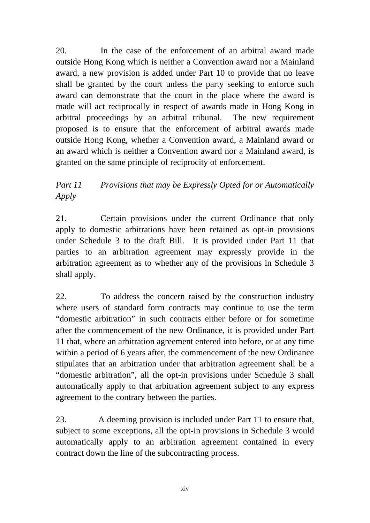20. In the case of the enforcement of an arbitral award made outside Hong Kong which is neither a Convention award nor a Mainland award, a new provision is added under Part 10 to provide that no leave shall be granted by the court unless the party seeking to enforce such award can demonstrate that the court in the place where the award is made will act reciprocally in respect of awards made in Hong Kong in arbitral proceedings by an arbitral tribunal. The new requirement proposed is to ensure that the enforcement of arbitral awards made outside Hong Kong, whether a Convention award, a Mainland award or an award which is neither a Convention award nor a Mainland award, is granted on the same principle of reciprocity of enforcement.

## *Part 11 Provisions that may be Expressly Opted for or Automatically Apply*

21. Certain provisions under the current Ordinance that only apply to domestic arbitrations have been retained as opt-in provisions under Schedule 3 to the draft Bill. It is provided under Part 11 that parties to an arbitration agreement may expressly provide in the arbitration agreement as to whether any of the provisions in Schedule 3 shall apply.

22. To address the concern raised by the construction industry where users of standard form contracts may continue to use the term "domestic arbitration" in such contracts either before or for sometime after the commencement of the new Ordinance, it is provided under Part 11 that, where an arbitration agreement entered into before, or at any time within a period of 6 years after, the commencement of the new Ordinance stipulates that an arbitration under that arbitration agreement shall be a "domestic arbitration", all the opt-in provisions under Schedule 3 shall automatically apply to that arbitration agreement subject to any express agreement to the contrary between the parties.

23. A deeming provision is included under Part 11 to ensure that, subject to some exceptions, all the opt-in provisions in Schedule 3 would automatically apply to an arbitration agreement contained in every contract down the line of the subcontracting process.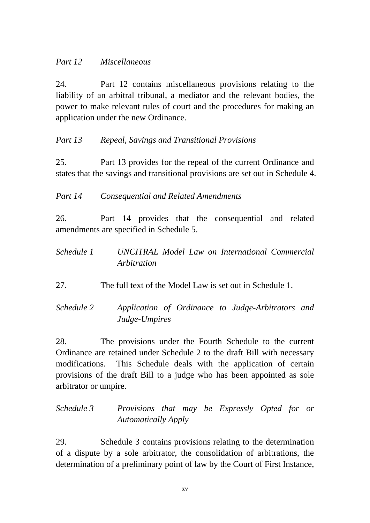#### *Part 12 Miscellaneous*

24. Part 12 contains miscellaneous provisions relating to the liability of an arbitral tribunal, a mediator and the relevant bodies, the power to make relevant rules of court and the procedures for making an application under the new Ordinance.

## *Part 13 Repeal, Savings and Transitional Provisions*

25. Part 13 provides for the repeal of the current Ordinance and states that the savings and transitional provisions are set out in Schedule 4.

*Part 14 Consequential and Related Amendments*

26. Part 14 provides that the consequential and related amendments are specified in Schedule 5.

*Schedule 1 UNCITRAL Model Law on International Commercial Arbitration* 

27. The full text of the Model Law is set out in Schedule 1.

*Schedule 2 Application of Ordinance to Judge-Arbitrators and Judge-Umpires*

28. The provisions under the Fourth Schedule to the current Ordinance are retained under Schedule 2 to the draft Bill with necessary modifications. This Schedule deals with the application of certain provisions of the draft Bill to a judge who has been appointed as sole arbitrator or umpire.

*Schedule 3 Provisions that may be Expressly Opted for or Automatically Apply*

29. Schedule 3 contains provisions relating to the determination of a dispute by a sole arbitrator, the consolidation of arbitrations, the determination of a preliminary point of law by the Court of First Instance,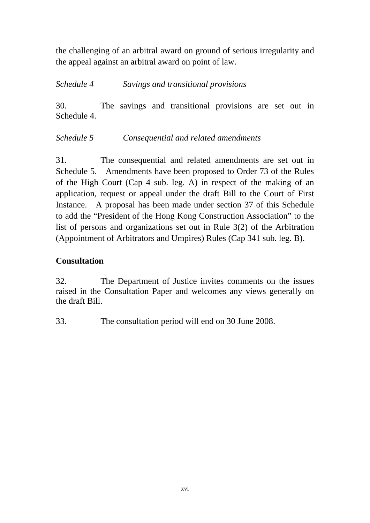the challenging of an arbitral award on ground of serious irregularity and the appeal against an arbitral award on point of law.

*Schedule 4 Savings and transitional provisions* 

30. The savings and transitional provisions are set out in Schedule 4.

*Schedule 5 Consequential and related amendments* 

31. The consequential and related amendments are set out in Schedule 5. Amendments have been proposed to Order 73 of the Rules of the High Court (Cap 4 sub. leg. A) in respect of the making of an application, request or appeal under the draft Bill to the Court of First Instance. A proposal has been made under section 37 of this Schedule to add the "President of the Hong Kong Construction Association" to the list of persons and organizations set out in Rule 3(2) of the Arbitration (Appointment of Arbitrators and Umpires) Rules (Cap 341 sub. leg. B).

#### **Consultation**

32. The Department of Justice invites comments on the issues raised in the Consultation Paper and welcomes any views generally on the draft Bill.

33. The consultation period will end on 30 June 2008.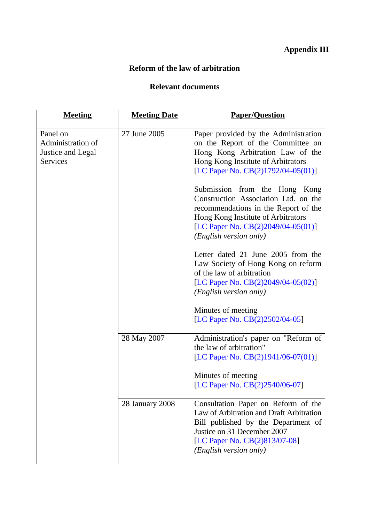# **Appendix III**

#### **Reform of the law of arbitration**

## **Relevant documents**

| <b>Meeting</b>                                                 | <b>Meeting Date</b> | <b>Paper/Question</b>                                                                                                                                                                                               |
|----------------------------------------------------------------|---------------------|---------------------------------------------------------------------------------------------------------------------------------------------------------------------------------------------------------------------|
| Panel on<br>Administration of<br>Justice and Legal<br>Services | 27 June 2005        | Paper provided by the Administration<br>on the Report of the Committee on<br>Hong Kong Arbitration Law of the<br>Hong Kong Institute of Arbitrators<br>[LC Paper No. CB(2)1792/04-05(01)]                           |
|                                                                |                     | Submission from the Hong Kong<br>Construction Association Ltd. on the<br>recommendations in the Report of the<br>Hong Kong Institute of Arbitrators<br>[LC Paper No. CB(2)2049/04-05(01)]<br>(English version only) |
|                                                                |                     | Letter dated 21 June 2005 from the<br>Law Society of Hong Kong on reform<br>of the law of arbitration<br>[LC Paper No. CB(2)2049/04-05(02)]<br>(English version only)                                               |
|                                                                |                     | Minutes of meeting<br>[LC Paper No. CB(2)2502/04-05]                                                                                                                                                                |
|                                                                | 28 May 2007         | Administration's paper on "Reform of<br>the law of arbitration"<br>[LC Paper No. CB(2)1941/06-07(01)]<br>Minutes of meeting<br>[LC Paper No. CB(2)2540/06-07]                                                       |
|                                                                | 28 January 2008     | Consultation Paper on Reform of the<br>Law of Arbitration and Draft Arbitration<br>Bill published by the Department of<br>Justice on 31 December 2007<br>[LC Paper No. CB(2)813/07-08]<br>(English version only)    |